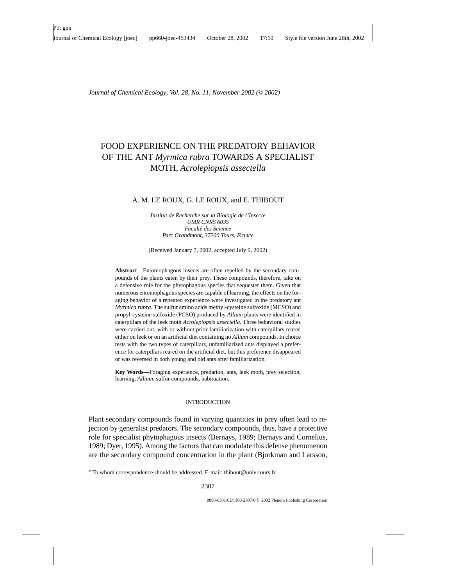# FOOD EXPERIENCE ON THE PREDATORY BEHAVIOR OF THE ANT *Myrmica rubra* TOWARDS A SPECIALIST MOTH, *Acrolepiopsis assectella*

## A. M. LE ROUX, G. LE ROUX, and E. THIBOUT

*Institut de Recherche sur la Biologie de l'Insecte UMR CNRS 6035 Faculte des Science ´ Parc Grandmont, 37200 Tours, France*

(Received January 7, 2002, accepted July 9, 2002)

**Abstract**—Entomophagous insects are often repelled by the secondary compounds of the plants eaten by their prey. These compounds, therefore, take on a defensive role for the phytophagous species that sequester them. Given that numerous entomophagous species are capable of learning, the effects on the foraging behavior of a repeated experience were investigated in the predatory ant *Myrmica rubra*. The sulfur amino acids methyl-cysteine sulfoxide (MCSO) and propyl-cysteine sulfoxide (PCSO) produced by *Allium* plants were identified in caterpillars of the leek moth *Acrolepiopsis assectella.* Three behavioral studies were carried out, with or without prior familiarization with caterpillars reared either on leek or on an artificial diet containing no *Allium* compounds. In choice tests with the two types of caterpillars, unfamiliarized ants displayed a preference for caterpillars reared on the artificial diet, but this preference disappeared or was reversed in both young and old ants after familiarization.

**Key Words**—Foraging experience, predation, ants, leek moth, prey selection, learning, *Allium*, sulfur compounds, habituation.

## INTRODUCTION

Plant secondary compounds found in varying quantities in prey often lead to rejection by generalist predators. The secondary compounds, thus, have a protective role for specialist phytophagous insects (Bernays, 1989; Bernays and Cornelius, 1989; Dyer, 1995). Among the factors that can modulate this defense phenomenon are the secondary compound concentration in the plant (Bjorkman and Larsson,

<sup>∗</sup> To whom correspondence should be addressed. E-mail: thibout@univ-tours.fr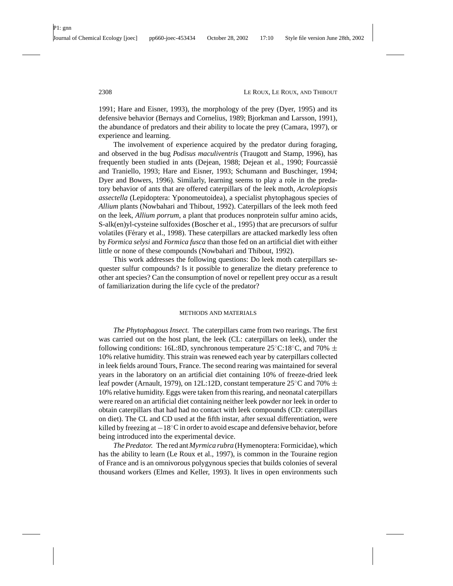1991; Hare and Eisner, 1993), the morphology of the prey (Dyer, 1995) and its defensive behavior (Bernays and Cornelius, 1989; Bjorkman and Larsson, 1991), the abundance of predators and their ability to locate the prey (Camara, 1997), or experience and learning.

The involvement of experience acquired by the predator during foraging, and observed in the bug *Podisus maculiventris* (Traugott and Stamp, 1996), has frequently been studied in ants (Dejean, 1988; Dejean et al., 1990; Fourcassié and Traniello, 1993; Hare and Eisner, 1993; Schumann and Buschinger, 1994; Dyer and Bowers, 1996). Similarly, learning seems to play a role in the predatory behavior of ants that are offered caterpillars of the leek moth, *Acrolepiopsis assectella* (Lepidoptera: Yponomeutoidea), a specialist phytophagous species of *Allium* plants (Nowbahari and Thibout, 1992). Caterpillars of the leek moth feed on the leek, *Allium porrum*, a plant that produces nonprotein sulfur amino acids, S-alk(en)yl-cysteine sulfoxides (Boscher et al., 1995) that are precursors of sulfur volatiles (Férary et al., 1998). These caterpillars are attacked markedly less often by *Formica selysi* and *Formica fusca* than those fed on an artificial diet with either little or none of these compounds (Nowbahari and Thibout, 1992).

This work addresses the following questions: Do leek moth caterpillars sequester sulfur compounds? Is it possible to generalize the dietary preference to other ant species? Can the consumption of novel or repellent prey occur as a result of familiarization during the life cycle of the predator?

#### METHODS AND MATERIALS

*The Phytophagous Insect.* The caterpillars came from two rearings. The first was carried out on the host plant, the leek (CL: caterpillars on leek), under the following conditions: 16L:8D, synchronous temperature 25 $\degree$ C:18 $\degree$ C, and 70%  $\pm$ 10% relative humidity. This strain was renewed each year by caterpillars collected in leek fields around Tours, France. The second rearing was maintained for several years in the laboratory on an artificial diet containing 10% of freeze-dried leek leaf powder (Arnault, 1979), on 12L:12D, constant temperature 25 $\degree$ C and 70%  $\pm$ 10% relative humidity. Eggs were taken from this rearing, and neonatal caterpillars were reared on an artificial diet containing neither leek powder nor leek in order to obtain caterpillars that had had no contact with leek compounds (CD: caterpillars on diet). The CL and CD used at the fifth instar, after sexual differentiation, were killed by freezing at −18◦C in order to avoid escape and defensive behavior, before being introduced into the experimental device.

*The Predator.* The red ant *Myrmica rubra* (Hymenoptera: Formicidae), which has the ability to learn (Le Roux et al., 1997), is common in the Touraine region of France and is an omnivorous polygynous species that builds colonies of several thousand workers (Elmes and Keller, 1993). It lives in open environments such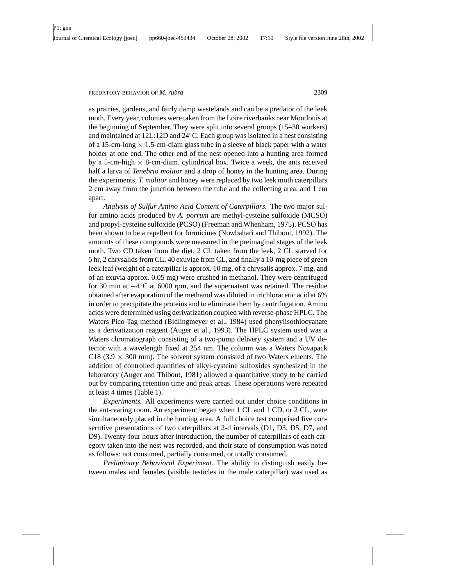as prairies, gardens, and fairly damp wastelands and can be a predator of the leek moth. Every year, colonies were taken from the Loire riverbanks near Montlouis at the beginning of September. They were split into several groups (15–30 workers) and maintained at 12L:12D and 24◦C. Each group was isolated in a nest consisting of a 15-cm-long  $\times$  1.5-cm-diam glass tube in a sleeve of black paper with a water holder at one end. The other end of the nest opened into a hunting area formed by a 5-cm-high  $\times$  8-cm-diam. cylindrical box. Twice a week, the ants received half a larva of *Tenebrio molitor* and a drop of honey in the hunting area. During the experiments, *T. molitor* and honey were replaced by two leek moth caterpillars 2 cm away from the junction between the tube and the collecting area, and 1 cm apart.

*Analysis of Sulfur Amino Acid Content of Caterpillars.* The two major sulfur amino acids produced by *A. porrum* are methyl-cysteine sulfoxide (MCSO) and propyl-cysteine sulfoxide (PCSO) (Freeman and Whenham, 1975). PCSO has been shown to be a repellent for formicines (Nowbahari and Thibout, 1992). The amounts of these compounds were measured in the preimaginal stages of the leek moth. Two CD taken from the diet, 2 CL taken from the leek, 2 CL starved for 5 hr, 2 chrysalids from CL, 40 exuviae from CL, and finally a 10-mg piece of green leek leaf (weight of a caterpillar is approx. 10 mg, of a chrysalis approx. 7 mg, and of an exuvia approx. 0.05 mg) were crushed in methanol. They were centrifuged for 30 min at −4◦C at 6000 rpm, and the supernatant was retained. The residue obtained after evaporation of the methanol was diluted in trichloracetic acid at 6% in order to precipitate the proteins and to eliminate them by centrifugation. Amino acids were determined using derivatization coupled with reverse-phase HPLC. The Waters Pico-Tag method (Bidlingmeyer et al., 1984) used phenylisothiocyanate as a derivatization reagent (Auger et al., 1993). The HPLC system used was a Waters chromatograph consisting of a two-pump delivery system and a UV detector with a wavelength fixed at 254 nm. The column was a Waters Novapack C18 (3.9  $\times$  300 mm). The solvent system consisted of two Waters eluents. The addition of controlled quantities of alkyl-cysteine sulfoxides synthesized in the laboratory (Auger and Thibout, 1981) allowed a quantitative study to be carried out by comparing retention time and peak areas. These operations were repeated at least 4 times (Table 1).

*Experiments.* All experiments were carried out under choice conditions in the ant-rearing room. An experiment began when 1 CL and 1 CD, or 2 CL, were simultaneously placed in the hunting area. A full choice test comprised five consecutive presentations of two caterpillars at 2-d intervals (D1, D3, D5, D7, and D9). Twenty-four hours after introduction, the number of caterpillars of each category taken into the nest was recorded, and their state of consumption was noted as follows: not consumed, partially consumed, or totally consumed.

*Preliminary Behavioral Experiment.* The ability to distinguish easily between males and females (visible testicles in the male caterpillar) was used as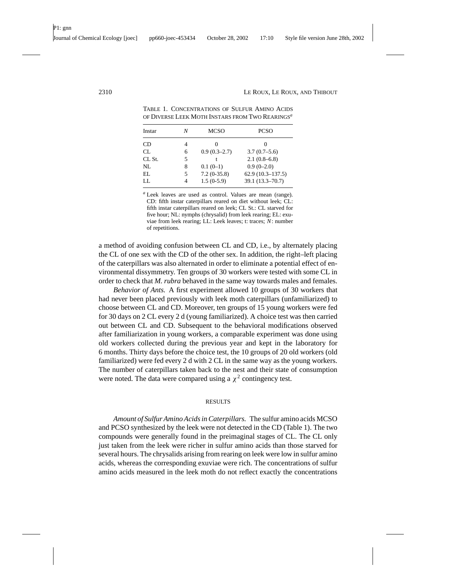| Instar<br>N |   | <b>MCSO</b>    | <b>PCSO</b>        |  |  |
|-------------|---|----------------|--------------------|--|--|
| CD          | 4 | 0              | 0                  |  |  |
| CL          | 6 | $0.9(0.3-2.7)$ | $3.7(0.7-5.6)$     |  |  |
| CL St.      | 5 |                | $2.1(0.8-6.8)$     |  |  |
| NL          | 8 | $0.1(0-1)$     | $0.9(0-2.0)$       |  |  |
| EL.         | 5 | $7.2(0-35.8)$  | $62.9(10.3-137.5)$ |  |  |
| LL.         | 4 | $1.5(0-5.9)$   | 39.1 (13.3-70.7)   |  |  |

TABLE 1. CONCENTRATIONS OF SULFUR AMINO ACIDS OF DIVERSE LEEK MOTH INSTARS FROM TWO REARINGS*<sup>a</sup>*

*<sup>a</sup>* Leek leaves are used as control. Values are mean (range). CD: fifth instar caterpillars reared on diet without leek; CL: fifth instar caterpillars reared on leek; CL St.: CL starved for five hour; NL: nymphs (chrysalid) from leek rearing; EL: exuviae from leek rearing; LL: Leek leaves; t: traces; *N*: number of repetitions.

a method of avoiding confusion between CL and CD, i.e., by alternately placing the CL of one sex with the CD of the other sex. In addition, the right–left placing of the caterpillars was also alternated in order to eliminate a potential effect of environmental dissymmetry. Ten groups of 30 workers were tested with some CL in order to check that *M. rubra* behaved in the same way towards males and females.

*Behavior of Ants.* A first experiment allowed 10 groups of 30 workers that had never been placed previously with leek moth caterpillars (unfamiliarized) to choose between CL and CD. Moreover, ten groups of 15 young workers were fed for 30 days on 2 CL every 2 d (young familiarized). A choice test was then carried out between CL and CD. Subsequent to the behavioral modifications observed after familiarization in young workers, a comparable experiment was done using old workers collected during the previous year and kept in the laboratory for 6 months. Thirty days before the choice test, the 10 groups of 20 old workers (old familiarized) were fed every 2 d with 2 CL in the same way as the young workers. The number of caterpillars taken back to the nest and their state of consumption were noted. The data were compared using a  $\chi^2$  contingency test.

#### **RESULTS**

*Amount of Sulfur Amino Acids in Caterpillars.* The sulfur amino acids MCSO and PCSO synthesized by the leek were not detected in the CD (Table 1). The two compounds were generally found in the preimaginal stages of CL. The CL only just taken from the leek were richer in sulfur amino acids than those starved for several hours. The chrysalids arising from rearing on leek were low in sulfur amino acids, whereas the corresponding exuviae were rich. The concentrations of sulfur amino acids measured in the leek moth do not reflect exactly the concentrations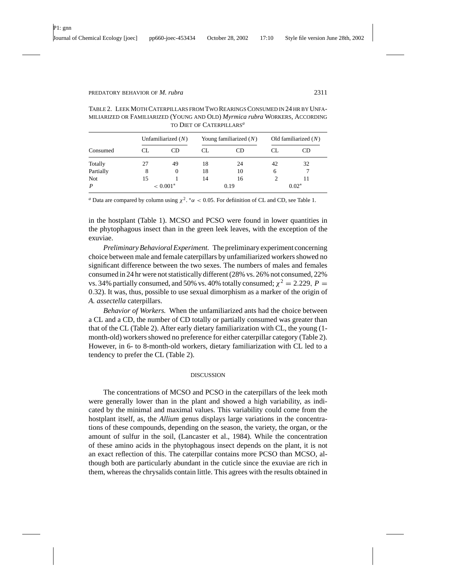|                  | Unfamiliarized $(N)$ |            | Young familiarized $(N)$ |      | Old familiarized $(N)$ |         |
|------------------|----------------------|------------|--------------------------|------|------------------------|---------|
| Consumed         | CL                   | CD.        | CL.                      | CD   | CL.                    | CD      |
| Totally          | 27                   | 49         | 18                       | 24   | 42                     | 32      |
| Partially        | 8                    | $\theta$   | 18                       | 10   | 6                      |         |
| Not              | 15                   |            | 14                       | 16   |                        | 11      |
| $\boldsymbol{P}$ |                      | $< 0.001*$ |                          | 0.19 |                        | $0.02*$ |

| TABLE 2. LEEK MOTH CATERPILLARS FROM TWO REARINGS CONSUMED IN 24 HR BY UNFA- |
|------------------------------------------------------------------------------|
| MILIARIZED OR FAMILIARIZED (YOUNG AND OLD) Myrmica rubra WORKERS, ACCORDING  |
| TO DIET OF CATERPILLARS <sup>a</sup>                                         |

*a* Data are compared by column using  $\chi^2$ . \* $\alpha$  < 0.05. For defiinition of CL and CD, see Table 1.

in the hostplant (Table 1). MCSO and PCSO were found in lower quantities in the phytophagous insect than in the green leek leaves, with the exception of the exuviae.

*Preliminary Behavioral Experiment.* The preliminary experiment concerning choice between male and female caterpillars by unfamiliarized workers showed no significant difference between the two sexes. The numbers of males and females consumed in 24 hr were not statistically different (28% vs. 26% not consumed, 22% vs. 34% partially consumed, and 50% vs. 40% totally consumed;  $\chi^2 = 2.229$ ,  $P =$ 0.32). It was, thus, possible to use sexual dimorphism as a marker of the origin of *A. assectella* caterpillars.

*Behavior of Workers.* When the unfamiliarized ants had the choice between a CL and a CD, the number of CD totally or partially consumed was greater than that of the CL (Table 2). After early dietary familiarization with CL, the young (1 month-old) workers showed no preference for either caterpillar category (Table 2). However, in 6- to 8-month-old workers, dietary familiarization with CL led to a tendency to prefer the CL (Table 2).

### DISCUSSION

The concentrations of MCSO and PCSO in the caterpillars of the leek moth were generally lower than in the plant and showed a high variability, as indicated by the minimal and maximal values. This variability could come from the hostplant itself, as, the *Allium* genus displays large variations in the concentrations of these compounds, depending on the season, the variety, the organ, or the amount of sulfur in the soil, (Lancaster et al., 1984). While the concentration of these amino acids in the phytophagous insect depends on the plant, it is not an exact reflection of this. The caterpillar contains more PCSO than MCSO, although both are particularly abundant in the cuticle since the exuviae are rich in them, whereas the chrysalids contain little. This agrees with the results obtained in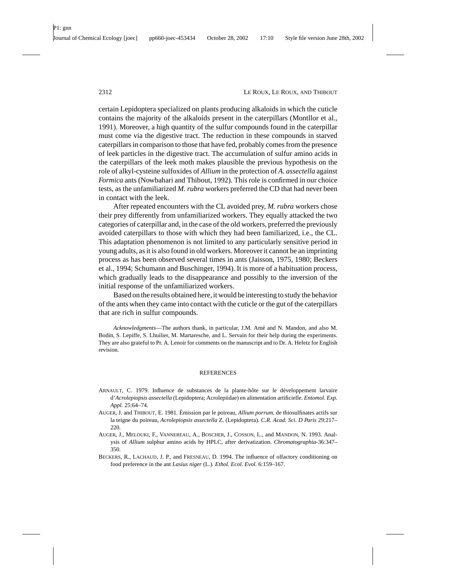certain Lepidoptera specialized on plants producing alkaloids in which the cuticle contains the majority of the alkaloids present in the caterpillars (Montllor et al., 1991). Moreover, a high quantity of the sulfur compounds found in the caterpillar must come via the digestive tract. The reduction in these compounds in starved caterpillars in comparison to those that have fed, probably comes from the presence of leek particles in the digestive tract. The accumulation of sulfur amino acids in the caterpillars of the leek moth makes plausible the previous hypothesis on the role of alkyl-cysteine sulfoxides of *Allium* in the protection of *A. assectella* against *Formica* ants (Nowbahari and Thibout, 1992). This role is confirmed in our choice tests, as the unfamiliarized *M. rubra* workers preferred the CD that had never been in contact with the leek.

After repeated encounters with the CL avoided prey, *M. rubra* workers chose their prey differently from unfamiliarized workers. They equally attacked the two categories of caterpillar and, in the case of the old workers, preferred the previously avoided caterpillars to those with which they had been familiarized, i.e., the CL. This adaptation phenomenon is not limited to any particularly sensitive period in young adults, as it is also found in old workers. Moreover it cannot be an imprinting process as has been observed several times in ants (Jaisson, 1975, 1980; Beckers et al., 1994; Schumann and Buschinger, 1994). It is more of a habituation process, which gradually leads to the disappearance and possibly to the inversion of the initial response of the unfamiliarized workers.

Based on the results obtained here, it would be interesting to study the behavior of the ants when they came into contact with the cuticle or the gut of the caterpillars that are rich in sulfur compounds.

*Acknowledgments*—The authors thank, in particular, J.M. Am´e and N. Mandon, and also M. Bodin, S. Lepiffe, S. Lhuilier, M. Martaresche, and L. Servain for their help during the experiments. They are also grateful to Pr. A. Lenoir for comments on the manuscript and to Dr. A. Hefetz for English revision.

#### **REFERENCES**

- ARNAULT, C. 1979. Influence de substances de la plante-hôte sur le développement larvaire d'*Acrolepiopsis assectella* (Lepidoptera; Acrolepiidae) en alimentation artificielle. *Entomol. Exp. Appl.* 25:64–74.
- AUGER, J. and THIBOUT, E. 1981. Émission par le poireau, *Allium porrum*, de thiosulfinates actifs sur la teigne du poireau, *Acrolepiopsis assectella* Z. (Lepidoptera). *C.R. Acad. Sci. D Paris* 29:217– 220.
- AUGER, J., MELOUKI, F., VANNEREAU, A., BOSCHER, J., COSSON, L., and MANDON, N. 1993. Analysis of *Allium* sulphur amino acids by HPLC, after derivatization. *Chromatographia*-36:347– 350.
- BECKERS, R., LACHAUD, J. P., and FRESNEAU, D. 1994. The influence of olfactory conditioning on food preference in the ant *Lasius niger* (L.). *Ethol. Ecol. Evol.* 6:159–167.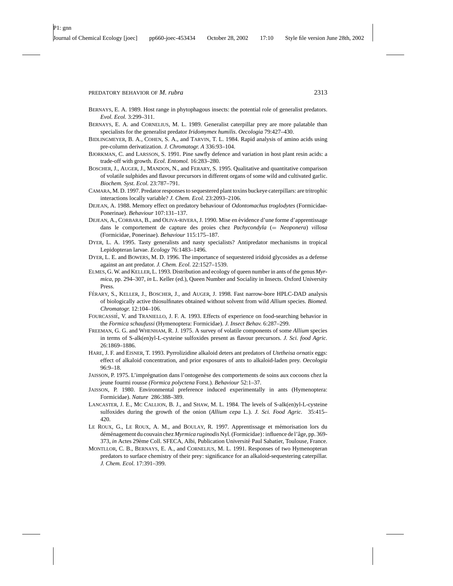- BERNAYS, E. A. 1989. Host range in phytophagous insects: the potential role of generalist predators. *Evol. Ecol.* 3:299–311.
- BERNAYS, E. A. and CORNELIUS, M. L. 1989. Generalist caterpillar prey are more palatable than specialists for the generalist predator *Iridomymex humilis*. *Oecologia* 79:427–430.
- BIDLINGMEYER, B. A., COHEN, S. A., and TARVIN, T. L. 1984. Rapid analysis of amino acids using pre-column derivatization. *J. Chromatogr. A* 336:93–104.
- BJORKMAN, C. and LARSSON, S. 1991. Pine sawfly defence and variation in host plant resin acids: a trade-off with growth. *Ecol. Entomol.* 16:283–280.
- BOSCHER, J., AUGER, J., MANDON, N., and FERARY, S. 1995. Qualitative and quantitative comparison of volatile sulphides and flavour precursors in different organs of some wild and cultivated garlic. *Biochem. Syst. Ecol.* 23:787–791.
- CAMARA, M. D. 1997. Predator responses to sequestered plant toxins buckeye caterpillars: are tritrophic interactions locally variable? *J. Chem. Ecol.* 23:2093–2106.
- DEJEAN, A. 1988. Memory effect on predatory behaviour of *Odontomachus troglodytes* (Formicidae-Ponerinae). *Behaviour* 107:131–137.
- DEJEAN, A., CORBARA, B., and OLIVA-RIVERA, J. 1990. Mise en évidence d'une forme d'apprentissage dans le comportement de capture des proies chez *Pachycondyla* (= *Neoponera*) *villosa* (Formicidae, Ponerinae). *Behaviour* 115:175–187.
- DYER, L. A. 1995. Tasty generalists and nasty specialists? Antipredator mechanisms in tropical Lepidopteran larvae. *Ecology* 76:1483–1496.
- DYER, L. E. and BOWERS, M. D. 1996. The importance of sequestered iridoid glycosides as a defense against an ant predator. *J. Chem. Ecol.* 22:1527–1539.
- ELMES, G. W. and KELLER, L. 1993. Distribution and ecology of queen number in ants of the genus *Myrmica*, pp. 294–307, *in* L. Keller (ed.), Queen Number and Sociality in Insects. Oxford University Press.
- FÉRARY, S., KELLER, J., BOSCHER, J., and AUGER, J. 1998. Fast narrow-bore HPLC-DAD analysis of biologically active thiosulfinates obtained without solvent from wild *Allium* species. *Biomed. Chromatogr.* 12:104–106.
- FOURCASSIE´, V. and TRANIELLO, J. F. A. 1993. Effects of experience on food-searching behavior in the *Formica schaufussi* (Hymenoptera: Formicidae). *J. Insect Behav.* 6:287–299.
- FREEMAN, G. G. and WHENHAM, R. J. 1975. A survey of volatile components of some *Allium* species in terms of S-alk(en)yl-L-cysteine sulfoxides present as flavour precursors. *J. Sci. food Agric.* 26:1869–1886.
- HARE, J. F. and EISNER, T. 1993. Pyrrolizidine alkaloid deters ant predators of *Utetheisa ornatix* eggs: effect of alkaloid concentration, and prior exposures of ants to alkaloid-laden prey. *Oecologia* 96:9–18.
- JAISSON, P. 1975. L'imprégnation dans l'ontogenèse des comportements de soins aux cocoons chez la jeune fourmi rousse *(Formica polyctena* Forst.). *Behaviour* 52:1–37.
- JAISSON, P. 1980. Environmental preference induced experimentally in ants (Hymenoptera: Formicidae). *Nature* 286:388–389.
- LANCASTER, J. E., MC CALLION, B. J., and SHAW, M. L. 1984. The levels of S-alk(en)yl-L-cysteine sulfoxides during the growth of the onion (*Allium cepa* L.). *J. Sci. Food Agric.* 35:415– 420.
- LE ROUX, G., LE ROUX, A. M., and BOULAY, R. 1997. Apprentissage et mémorisation lors du déménagement du couvain chez *Myrmica ruginodis* Nyl. (Formicidae) : influence de l'âge, pp. 369-373, *in* Actes 29ème Coll. SFECA, Albi, Publication Université Paul Sabatier, Toulouse, France.
- MONTLLOR, C. B., BERNAYS, E. A., and CORNELIUS, M. L. 1991. Responses of two Hymenopteran predators to surface chemistry of their prey: significance for an alkaloid-sequestering caterpillar. *J. Chem. Ecol.* 17:391–399.